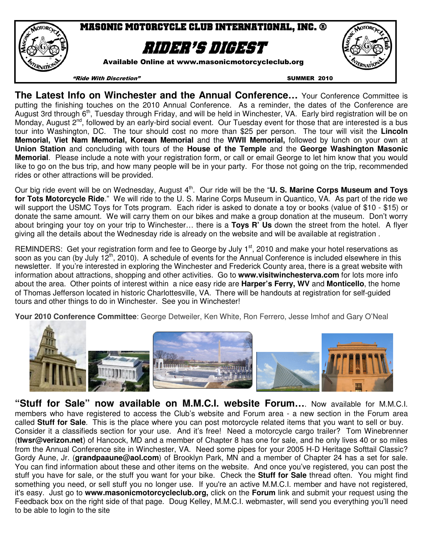

**The Latest Info on Winchester and the Annual Conference…** Your Conference Committee is putting the finishing touches on the 2010 Annual Conference. As a reminder, the dates of the Conference are August 3rd through 6th, Tuesday through Friday, and will be held in Winchester, VA. Early bird registration will be on Monday, August 2<sup>nd</sup>, followed by an early-bird social event. Our Tuesday event for those that are interested is a bus tour into Washington, DC. The tour should cost no more than \$25 per person. The tour will visit the **Lincoln Memorial, Viet Nam Memorial, Korean Memorial** and the **WWII Memorial,** followed by lunch on your own at **Union Station** and concluding with tours of the **House of the Temple** and the **George Washington Masonic Memorial**. Please include a note with your registration form, or call or email George to let him know that you would like to go on the bus trip, and how many people will be in your party. For those not going on the trip, recommended rides or other attractions will be provided.

Our big ride event will be on Wednesday, August 4<sup>th</sup>. Our ride will be the "U. S. Marine Corps Museum and Toys **for Tots Motorcycle Ride**." We will ride to the U. S. Marine Corps Museum in Quantico, VA. As part of the ride we will support the USMC Toys for Tots program. Each rider is asked to donate a toy or books (value of \$10 - \$15) or donate the same amount. We will carry them on our bikes and make a group donation at the museum. Don't worry about bringing your toy on your trip to Winchester… there is a **Toys R' Us** down the street from the hotel. A flyer giving all the details about the Wednesday ride is already on the website and will be available at registration .

REMINDERS: Get your registration form and fee to George by July 1<sup>st</sup>, 2010 and make your hotel reservations as soon as you can (by July 12<sup>th</sup>, 2010). A schedule of events for the Annual Conference is included elsewhere in this newsletter. If you're interested in exploring the Winchester and Frederick County area, there is a great website with information about attractions, shopping and other activities. Go to **www.visitwinchesterva.com** for lots more info about the area. Other points of interest within a nice easy ride are **Harper's Ferry, WV** and **Monticello**, the home of Thomas Jefferson located in historic Charlottesville, VA. There will be handouts at registration for self-guided tours and other things to do in Winchester. See you in Winchester!

**Your 2010 Conference Committee**: George Detweiler, Ken White, Ron Ferrero, Jesse Imhof and Gary O'Neal



**"Stuff for Sale" now available on M.M.C.I. website Forum…**. Now available for M.M.C.I. members who have registered to access the Club's website and Forum area - a new section in the Forum area called **Stuff for Sale**. This is the place where you can post motorcycle related items that you want to sell or buy. Consider it a classifieds section for your use. And it's free! Need a motorcycle cargo trailer? Tom Winebrenner (**tlwsr@verizon.net**) of Hancock, MD and a member of Chapter 8 has one for sale, and he only lives 40 or so miles from the Annual Conference site in Winchester, VA. Need some pipes for your 2005 H-D Heritage Softtail Classic? Gordy Aune, Jr. (**grandpaaune@aol.com**) of Brooklyn Park, MN and a member of Chapter 24 has a set for sale. You can find information about these and other items on the website. And once you've registered, you can post the stuff you have for sale, or the stuff you want for your bike. Check the **Stuff for Sale** thread often. You might find something you need, or sell stuff you no longer use. If you're an active M.M.C.I. member and have not registered, it's easy. Just go to **www.masonicmotorcycleclub.org,** click on the **Forum** link and submit your request using the Feedback box on the right side of that page. Doug Kelley, M.M.C.I. webmaster, will send you everything you'll need to be able to login to the site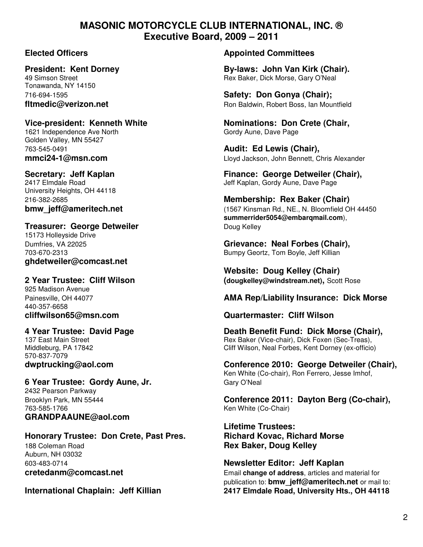### **MASONIC MOTORCYCLE CLUB INTERNATIONAL, INC. ® Executive Board, 2009 – 2011**

Tonawanda, NY 14150

# 1621 Independence Ave North Gordy Aune, Dave Page

Golden Valley, MN 55427 763-545-0491 **Audit: Ed Lewis (Chair),** 

University Heights, OH 44118

#### **Treasurer: George Detweiler Communist Communist Communist Communist Communist Communist Communist Communist Communist Communist Communist Communist Communist Communist Communist Communist Communist Communist Communist C**

15173 Holleyside Drive **ghdetweiler@comcast.net** 

# 925 Madison Avenue

440-357-6658

570-837-7079

## **6 Year Trustee: Gordy Aune, Jr.** Gary O'Neal

2432 Pearson Parkway 763-585-1766 Ken White (Co-Chair) **GRANDPAAUNE@aol.com** 

### **Honorary Trustee: Don Crete, Past Pres. Richard Kovac, Richard Morse**  188 Coleman Road **Rex Baker, Doug Kelley** Auburn, NH 03032

#### **Elected Officers Appointed Committees**

**President: Kent Dorney and State By-laws: John Van Kirk (Chair).**<br>49 Simson Street **By-laws: Bex Baker. Dick Morse. Gary O'Neal** Rex Baker, Dick Morse, Gary O'Neal

716-694-1595 **Safety: Don Gonya (Chair); fltmedic@verizon.net Ron Baldwin, Robert Boss, Ian Mountfield** 

Vice-president: Kenneth White **Nominations: Don Crete (Chair,**  $\overline{\phantom{a}}$ 

**mmci24-1@msn.com** Lloyd Jackson, John Bennett, Chris Alexander

**Secretary: Jeff Kaplan Finance: George Detweiler (Chair), Finance: George Detweiler (Chair), 2417 Elmdale Road** Jeff Kaplan, Gordy Aune, Dave Page

## 216-382-2685 **Membership: Rex Baker (Chair) bmw\_jeff@ameritech.net bmw\_jeff@ameritech.net computer 1567 Kinsman Rd., NE., N. Bloomfield OH 44450 summerrider5054@embarqmail.com**),

Dumfries, VA 22025 **Grievance: Neal Forbes (Chair),**  703-670-2313 Bumpy Geortz, Tom Boyle, Jeff Killian

 **Website: Doug Kelley (Chair) 2 Year Trustee: Cliff Wilson (dougkelley@windstream.net),** Scott Rose

### Painesville, OH 44077 **AMA Rep/Liability Insurance: Dick Morse**

### **cliffwilson65@msn.com Quartermaster: Cliff Wilson**

**4 Year Trustee: David Page Death Benefit Fund: Dick Morse (Chair),**  137 East Main Street **Research Reading Communist Communist Communist Communist Communist Communist Communist Communist Communist Communist Communist Communist Communist Communist Communist Communist Communist Communist Com** Middleburg, PA 17842 Cliff Wilson, Neal Forbes, Kent Dorney (ex-officio)

**dwptrucking@aol.com Conference 2010: George Detweiler (Chair),**  Ken White (Co-chair), Ron Ferrero, Jesse Imhof,

Brooklyn Park, MN 55444 **Conference 2011: Dayton Berg (Co-chair),** 

**Lifetime Trustees:**

603-483-0714 **Newsletter Editor: Jeff Kaplan cretedanm@comcast.net Email change of address**, articles and material for publication to: **bmw\_jeff@ameritech.net** or mail to: **International Chaplain: Jeff Killian 2417 Elmdale Road, University Hts., OH 44118**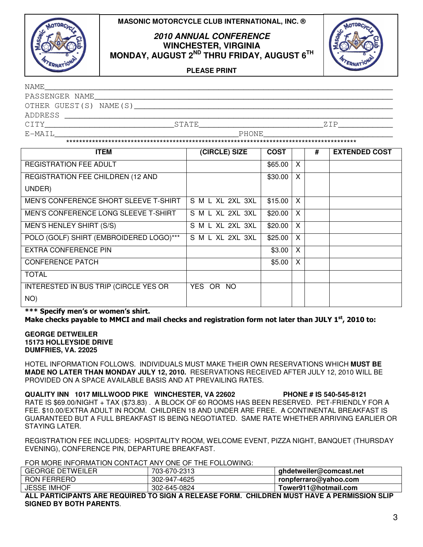



#### **2010 ANNUAL CONFERENCE WINCHESTER, VIRGINIA MONDAY, AUGUST 2ND THRU FRIDAY, AUGUST 6TH**



**PLEASE PRINT**

| NAME                   |              |        |
|------------------------|--------------|--------|
| PASSENGER NAME         |              |        |
| OTHER GUEST(S) NAME(S) |              |        |
| ADDRESS                |              |        |
| CTTY                   | <b>STATE</b> | 7. T P |
| E-MAIL                 | PHONE        |        |
|                        |              |        |

| <b>ITEM</b>                             | (CIRCLE) SIZE    | <b>COST</b> |   | # | <b>EXTENDED COST</b> |
|-----------------------------------------|------------------|-------------|---|---|----------------------|
| <b>REGISTRATION FEE ADULT</b>           |                  | \$65.00     | X |   |                      |
| REGISTRATION FEE CHILDREN (12 AND       |                  | \$30.00     | X |   |                      |
| UNDER)                                  |                  |             |   |   |                      |
| MEN'S CONFERENCE SHORT SLEEVE T-SHIRT   | S M L XL 2XL 3XL | \$15.00     | X |   |                      |
| MEN'S CONFERENCE LONG SLEEVE T-SHIRT    | S M L XL 2XL 3XL | \$20.00     | X |   |                      |
| MEN'S HENLEY SHIRT (S/S)                | S M L XL 2XL 3XL | \$20.00     | X |   |                      |
| POLO (GOLF) SHIRT (EMBROIDERED LOGO)*** | S M L XL 2XL 3XL | \$25.00     | X |   |                      |
| <b>EXTRA CONFERENCE PIN</b>             |                  | \$3.00      | X |   |                      |
| <b>CONFERENCE PATCH</b>                 |                  | \$5.00      | X |   |                      |
| <b>TOTAL</b>                            |                  |             |   |   |                      |
| INTERESTED IN BUS TRIP (CIRCLE YES OR   | YES OR NO        |             |   |   |                      |
| NO)                                     |                  |             |   |   |                      |

\*\*\* Specify men's or women's shirt. Make checks payable to MMCI and mail checks and registration form not later than JULY  $1^{st}$ , 2010 to:

**GEORGE DETWEILER 15173 HOLLEYSIDE DRIVE DUMFRIES, VA. 22025**

HOTEL INFORMATION FOLLOWS. INDIVIDUALS MUST MAKE THEIR OWN RESERVATIONS WHICH **MUST BE MADE NO LATER THAN MONDAY JULY 12, 2010.** RESERVATIONS RECEIVED AFTER JULY 12, 2010 WILL BE PROVIDED ON A SPACE AVAILABLE BASIS AND AT PREVAILING RATES.

**QUALITY INN 1017 MILLWOOD PIKE WINCHESTER, VA 22602 PHONE # IS 540-545-8121**  RATE IS \$69.00/NIGHT + TAX (\$73.83) . A BLOCK OF 60 ROOMS HAS BEEN RESERVED. PET-FRIENDLY FOR A FEE. \$10.00/EXTRA ADULT IN ROOM. CHILDREN 18 AND UNDER ARE FREE. A CONTINENTAL BREAKFAST IS GUARANTEED BUT A FULL BREAKFAST IS BEING NEGOTIATED. SAME RATE WHETHER ARRIVING EARLIER OR STAYING LATER.

REGISTRATION FEE INCLUDES: HOSPITALITY ROOM, WELCOME EVENT, PIZZA NIGHT, BANQUET (THURSDAY EVENING), CONFERENCE PIN, DEPARTURE BREAKFAST.

FOR MORE INFORMATION CONTACT ANY ONE OF THE FOLLOWING:

| <b>GEORGE DETWEILER</b> | 703-670-2313 | ghdetweiler@comcast.net |  |  |  |
|-------------------------|--------------|-------------------------|--|--|--|
| <b>RON FERRERO</b>      | 302-947-4625 | ronpferraro@yahoo.com   |  |  |  |
| <b>JESSE IMHOF</b>      | 302-645-0824 | Tower911@hotmail.com    |  |  |  |

**ALL PARTICIPANTS ARE REQUIRED TO SIGN A RELEASE FORM. CHILDREN MUST HAVE A PERMISSION SLIP SIGNED BY BOTH PARENTS**.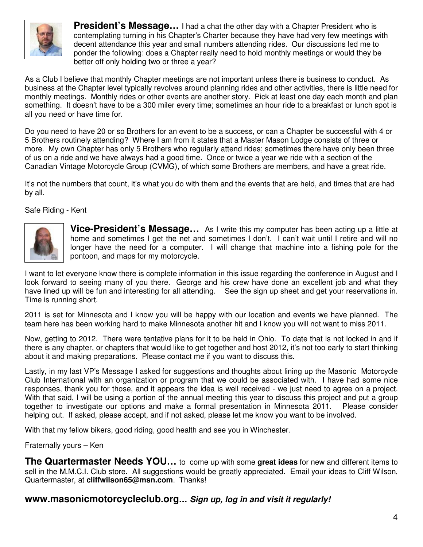

**President's Message...** I had a chat the other day with a Chapter President who is contemplating turning in his Chapter's Charter because they have had very few meetings with decent attendance this year and small numbers attending rides. Our discussions led me to ponder the following: does a Chapter really need to hold monthly meetings or would they be better off only holding two or three a year?

As a Club I believe that monthly Chapter meetings are not important unless there is business to conduct. As business at the Chapter level typically revolves around planning rides and other activities, there is little need for monthly meetings. Monthly rides or other events are another story. Pick at least one day each month and plan something. It doesn't have to be a 300 miler every time; sometimes an hour ride to a breakfast or lunch spot is all you need or have time for.

Do you need to have 20 or so Brothers for an event to be a success, or can a Chapter be successful with 4 or 5 Brothers routinely attending? Where I am from it states that a Master Mason Lodge consists of three or more. My own Chapter has only 5 Brothers who regularly attend rides; sometimes there have only been three of us on a ride and we have always had a good time. Once or twice a year we ride with a section of the Canadian Vintage Motorcycle Group (CVMG), of which some Brothers are members, and have a great ride.

It's not the numbers that count, it's what you do with them and the events that are held, and times that are had by all.

Safe Riding - Kent



**Vice-President's Message…** As I write this my computer has been acting up a little at home and sometimes I get the net and sometimes I don't. I can't wait until I retire and will no longer have the need for a computer. I will change that machine into a fishing pole for the pontoon, and maps for my motorcycle.

I want to let everyone know there is complete information in this issue regarding the conference in August and I look forward to seeing many of you there. George and his crew have done an excellent job and what they have lined up will be fun and interesting for all attending. See the sign up sheet and get your reservations in. Time is running short.

2011 is set for Minnesota and I know you will be happy with our location and events we have planned. The team here has been working hard to make Minnesota another hit and I know you will not want to miss 2011.

Now, getting to 2012. There were tentative plans for it to be held in Ohio. To date that is not locked in and if there is any chapter, or chapters that would like to get together and host 2012, it's not too early to start thinking about it and making preparations. Please contact me if you want to discuss this.

Lastly, in my last VP's Message I asked for suggestions and thoughts about lining up the Masonic Motorcycle Club International with an organization or program that we could be associated with. I have had some nice responses, thank you for those, and it appears the idea is well received - we just need to agree on a project. With that said, I will be using a portion of the annual meeting this year to discuss this project and put a group together to investigate our options and make a formal presentation in Minnesota 2011. Please consider helping out. If asked, please accept, and if not asked, please let me know you want to be involved.

With that my fellow bikers, good riding, good health and see you in Winchester.

Fraternally yours – Ken

**The Quartermaster Needs YOU…** to come up with some **great ideas** for new and different items to sell in the M.M.C.I. Club store. All suggestions would be greatly appreciated. Email your ideas to Cliff Wilson, Quartermaster, at **cliffwilson65@msn.com**. Thanks!

### **www.masonicmotorcycleclub.org... Sign up, log in and visit it regularly!**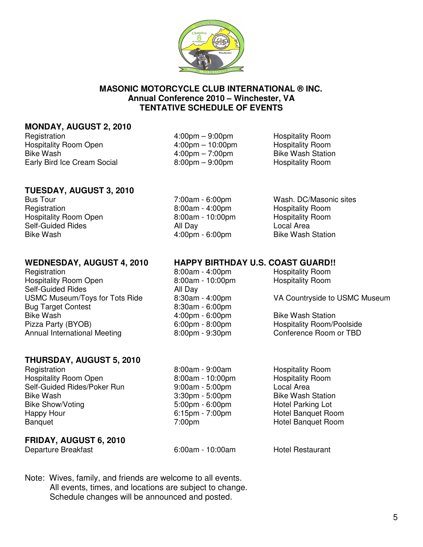

#### **MASONIC MOTORCYCLE CLUB INTERNATIONAL ® INC. Annual Conference 2010 – Winchester, VA TENTATIVE SCHEDULE OF EVENTS**

#### **MONDAY, AUGUST 2, 2010**

Registration 4:00pm – 9:00pm Hospitality Room Hospitality Room Open 4:00pm – 10:00pm – Hospitality Room Bike Wash **6.1 and 1.00pm** – 7:00pm – 7:00pm Early Bird Ice Cream Social 8:00pm – 9:00pm – 9:00pm

#### **TUESDAY, AUGUST 3, 2010**

Registration **8:00am - 4:00pm** Hospitality Room Hospitality Room Open 8:00am - 10:00pm Hospitality Room<br>
Self-Guided Rides **All Dav** All Dav **Hospitality Room** Self-Guided Rides **All Day** All Dav Bike Wash **6:00pm - 6:00pm** - 6:00pm Bike Wash Station

Registration **8:00am - 4:00pm** Hospitality Room Hospitality Room Open 8:00am - 10:00pm Hospitality Room Self-Guided Rides **All Day** Bug Target Contest 6:30am - 6:00pm<br>Bike Wash 6:00pm - 4:00pm - 6:00pm Pizza Party (BYOB)  $6:00 \text{pm} - 8:00 \text{pm}$  Hospitality Room/Poolside Annual International Meeting 8:00pm - 9:30pm Conference Room or TBD

### **THURSDAY, AUGUST 5, 2010**

Registration **8:00am - 9:00am** - 9:00am Hospitality Room Hospitality Room Open 8:00am - 10:00pm Hospitality Room Self-Guided Rides/Poker Run 9:00am - 5:00pm Local Area Bike Wash 3:30pm - 5:00pm<br>Bike Show/Voting and Bike Show/Voting and Bike Show/Voting Lot 5:00pm - 6:00pm - 6:00pm Bike Show/Voting The State of the Show-Voting Lot 5:00pm - 6:00pm Hotel Parking Lot Happy Hour **Example 2:15pm - 7:00pm** Hotel Banquet Room Banquet 7:00pm Hotel Banquet Room

### **FRIDAY, AUGUST 6, 2010**

Departure Breakfast 6:00am - 10:00am Hotel Restaurant

Note: Wives, family, and friends are welcome to all events. All events, times, and locations are subject to change. Schedule changes will be announced and posted.

Bus Tour 7:00am - 6:00pm Wash. DC/Masonic sites

#### **WEDNESDAY, AUGUST 4, 2010 HAPPY BIRTHDAY U.S. COAST GUARD!!**

USMC Museum/Toys for Tots Ride 8:30am - 4:00pm VA Countryside to USMC Museum

4:00pm - 6:00pm<br>6:00pm - 8:00pm - Bike Wash Station<br>Hospitality Room/P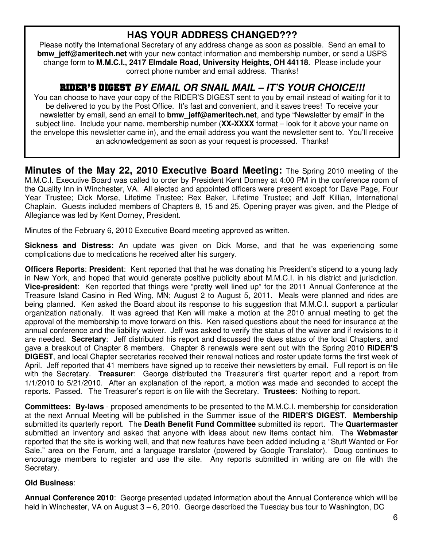# **HAS YOUR ADDRESS CHANGED???**

Please notify the International Secretary of any address change as soon as possible. Send an email to **bmw** jeff@ameritech.net with your new contact information and membership number, or send a USPS change form to **M.M.C.I., 2417 Elmdale Road, University Heights, OH 44118**. Please include your correct phone number and email address. Thanks!

# RIDER'S DIGEST **BY EMAIL OR SNAIL MAIL – IT'S YOUR CHOICE!!!**

You can choose to have your copy of the RIDER'S DIGEST sent to you by email instead of waiting for it to be delivered to you by the Post Office. It's fast and convenient, and it saves trees! To receive your newsletter by email, send an email to **bmw\_jeff@ameritech.net**, and type "Newsletter by email" in the subject line. Include your name, membership number (**XX-XXXX** format – look for it above your name on the envelope this newsletter came in), and the email address you want the newsletter sent to. You'll receive an acknowledgement as soon as your request is processed. Thanks!

**Minutes of the May 22, 2010 Executive Board Meeting:** The Spring 2010 meeting of the M.M.C.I. Executive Board was called to order by President Kent Dorney at 4:00 PM in the conference room of the Quality Inn in Winchester, VA. All elected and appointed officers were present except for Dave Page, Four Year Trustee; Dick Morse, Lifetime Trustee; Rex Baker, Lifetime Trustee; and Jeff Killian, International Chaplain. Guests included members of Chapters 8, 15 and 25. Opening prayer was given, and the Pledge of Allegiance was led by Kent Dorney, President.

Minutes of the February 6, 2010 Executive Board meeting approved as written.

**Sickness and Distress:** An update was given on Dick Morse, and that he was experiencing some complications due to medications he received after his surgery.

**Officers Reports**: **President**: Kent reported that that he was donating his President's stipend to a young lady in New York, and hoped that would generate positive publicity about M.M.C.I. in his district and jurisdiction. **Vice-president**: Ken reported that things were "pretty well lined up" for the 2011 Annual Conference at the Treasure Island Casino in Red Wing, MN; August 2 to August 5, 2011. Meals were planned and rides are being planned. Ken asked the Board about its response to his suggestion that M.M.C.I. support a particular organization nationally. It was agreed that Ken will make a motion at the 2010 annual meeting to get the approval of the membership to move forward on this. Ken raised questions about the need for insurance at the annual conference and the liability waiver. Jeff was asked to verify the status of the waiver and if revisions to it are needed. **Secretary**: Jeff distributed his report and discussed the dues status of the local Chapters, and gave a breakout of Chapter 8 members. Chapter 8 renewals were sent out with the Spring 2010 **RIDER'S DIGEST**, and local Chapter secretaries received their renewal notices and roster update forms the first week of April. Jeff reported that 41 members have signed up to receive their newsletters by email. Full report is on file with the Secretary. **Treasurer**: George distributed the Treasurer's first quarter report and a report from 1/1/2010 to 5/21/2010. After an explanation of the report, a motion was made and seconded to accept the reports. Passed. The Treasurer's report is on file with the Secretary. **Trustees**: Nothing to report.

**Committees: By-laws** - proposed amendments to be presented to the M.M.C.I. membership for consideration at the next Annual Meeting will be published in the Summer issue of the **RIDER'S DIGEST**. **Membership** submitted its quarterly report. The **Death Benefit Fund Committee** submitted its report. The **Quartermaster** submitted an inventory and asked that anyone with ideas about new items contact him. The **Webmaster**  reported that the site is working well, and that new features have been added including a "Stuff Wanted or For Sale." area on the Forum, and a language translator (powered by Google Translator). Doug continues to encourage members to register and use the site. Any reports submitted in writing are on file with the Secretary.

### **Old Business**:

**Annual Conference 2010**: George presented updated information about the Annual Conference which will be held in Winchester, VA on August 3 – 6, 2010. George described the Tuesday bus tour to Washington, DC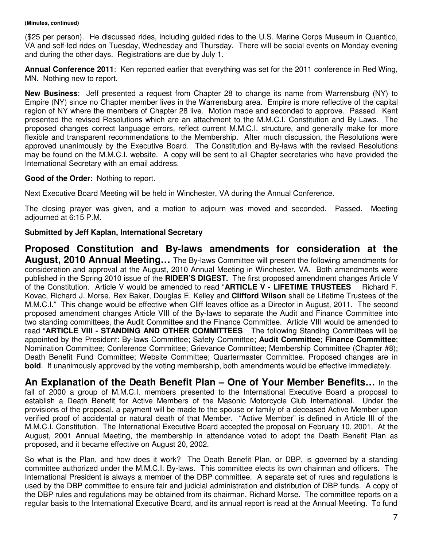#### **(Minutes, continued)**

(\$25 per person). He discussed rides, including guided rides to the U.S. Marine Corps Museum in Quantico, VA and self-led rides on Tuesday, Wednesday and Thursday. There will be social events on Monday evening and during the other days. Registrations are due by July 1.

**Annual Conference 2011**: Ken reported earlier that everything was set for the 2011 conference in Red Wing, MN. Nothing new to report.

**New Business**: Jeff presented a request from Chapter 28 to change its name from Warrensburg (NY) to Empire (NY) since no Chapter member lives in the Warrensburg area. Empire is more reflective of the capital region of NY where the members of Chapter 28 live. Motion made and seconded to approve. Passed. Kent presented the revised Resolutions which are an attachment to the M.M.C.I. Constitution and By-Laws. The proposed changes correct language errors, reflect current M.M.C.I. structure, and generally make for more flexible and transparent recommendations to the Membership. After much discussion, the Resolutions were approved unanimously by the Executive Board. The Constitution and By-laws with the revised Resolutions may be found on the M.M.C.I. website. A copy will be sent to all Chapter secretaries who have provided the International Secretary with an email address.

#### **Good of the Order**: Nothing to report.

Next Executive Board Meeting will be held in Winchester, VA during the Annual Conference.

The closing prayer was given, and a motion to adjourn was moved and seconded. Passed. Meeting adjourned at 6:15 P.M.

#### **Submitted by Jeff Kaplan, International Secretary**

**Proposed Constitution and By-laws amendments for consideration at the August, 2010 Annual Meeting…** The By-laws Committee will present the following amendments for consideration and approval at the August, 2010 Annual Meeting in Winchester, VA. Both amendments were published in the Spring 2010 issue of the **RIDER'S DIGEST.** The first proposed amendment changes Article V of the Constitution. Article V would be amended to read "**ARTICLE V - LIFETIME TRUSTEES** Richard F. Kovac, Richard J. Morse, Rex Baker, Douglas E. Kelley and **Clifford Wilson** shall be Lifetime Trustees of the M.M.C.I." This change would be effective when Cliff leaves office as a Director in August, 2011. The second proposed amendment changes Article VIII of the By-laws to separate the Audit and Finance Committee into two standing committees, the Audit Committee and the Finance Committee. Article VIII would be amended to read "**ARTICLE VIII - STANDING AND OTHER COMMITTEES** The following Standing Committees will be appointed by the President: By-laws Committee; Safety Committee; **Audit Committee**; **Finance Committee**; Nomination Committee; Conference Committee; Grievance Committee; Membership Committee (Chapter #8); Death Benefit Fund Committee; Website Committee; Quartermaster Committee. Proposed changes are in **bold**. If unanimously approved by the voting membership, both amendments would be effective immediately.

**An Explanation of the Death Benefit Plan – One of Your Member Benefits…** In the fall of 2000 a group of M.M.C.I. members presented to the International Executive Board a proposal to establish a Death Benefit for Active Members of the Masonic Motorcycle Club International. Under the provisions of the proposal, a payment will be made to the spouse or family of a deceased Active Member upon verified proof of accidental or natural death of that Member. "Active Member" is defined in Article III of the M.M.C.I. Constitution. The International Executive Board accepted the proposal on February 10, 2001. At the August, 2001 Annual Meeting, the membership in attendance voted to adopt the Death Benefit Plan as proposed, and it became effective on August 20, 2002.

So what is the Plan, and how does it work? The Death Benefit Plan, or DBP, is governed by a standing committee authorized under the M.M.C.I. By-laws. This committee elects its own chairman and officers. The International President is always a member of the DBP committee. A separate set of rules and regulations is used by the DBP committee to ensure fair and judicial administration and distribution of DBP funds. A copy of the DBP rules and regulations may be obtained from its chairman, Richard Morse. The committee reports on a regular basis to the International Executive Board, and its annual report is read at the Annual Meeting. To fund